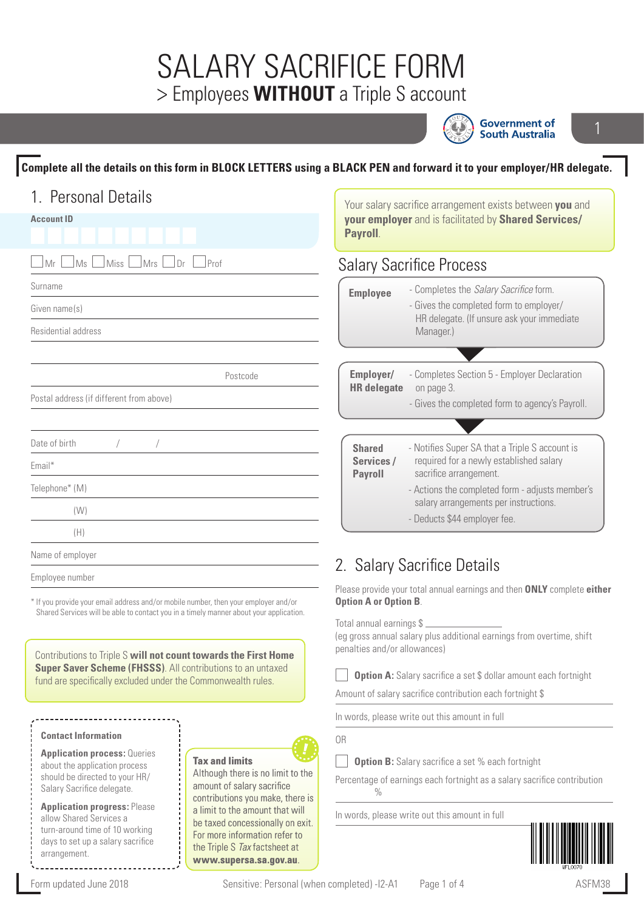## SALARY SACRIFICE FORM > Employees **WITHOUT** a Triple S account



**Government of South Australia** 

### **Complete all the details on this form in BLOCK LETTERS using a BLACK PEN and forward it to your employer/HR delegate.**

| 1. Personal Details                                                                                                                                                           |                                                                                                                                                                                                     | Your salary sacrifice arrangement exists between you and<br>your employer and is facilitated by Shared Services/<br>Payroll. |                                                                       |  |
|-------------------------------------------------------------------------------------------------------------------------------------------------------------------------------|-----------------------------------------------------------------------------------------------------------------------------------------------------------------------------------------------------|------------------------------------------------------------------------------------------------------------------------------|-----------------------------------------------------------------------|--|
| <b>Account ID</b>                                                                                                                                                             |                                                                                                                                                                                                     |                                                                                                                              |                                                                       |  |
| Ms  <br>Miss<br>Mrs<br>Mr                                                                                                                                                     | Dr<br>Prof                                                                                                                                                                                          |                                                                                                                              | <b>Salary Sacrifice Process</b>                                       |  |
| Surname                                                                                                                                                                       |                                                                                                                                                                                                     | <b>Employee</b>                                                                                                              | - Completes the Salary Sacrifice form.                                |  |
| Given name(s)                                                                                                                                                                 |                                                                                                                                                                                                     |                                                                                                                              | - Gives the completed form to employer/                               |  |
| Residential address                                                                                                                                                           |                                                                                                                                                                                                     |                                                                                                                              | HR delegate. (If unsure ask your immediate<br>Manager.)               |  |
|                                                                                                                                                                               | Postcode                                                                                                                                                                                            | Employer/                                                                                                                    | - Completes Section 5 - Employer Declaration                          |  |
| Postal address (if different from above)                                                                                                                                      |                                                                                                                                                                                                     | <b>HR</b> delegate<br>on page 3.<br>- Gives the completed form to agency's Payroll.                                          |                                                                       |  |
| Date of birth                                                                                                                                                                 |                                                                                                                                                                                                     | <b>Shared</b>                                                                                                                | - Notifies Super SA that a Triple S account is                        |  |
| Email*                                                                                                                                                                        |                                                                                                                                                                                                     | Services /<br><b>Payroll</b>                                                                                                 | required for a newly established salary<br>sacrifice arrangement.     |  |
| Telephone* (M)                                                                                                                                                                |                                                                                                                                                                                                     |                                                                                                                              | - Actions the completed form - adjusts member's                       |  |
| (W)                                                                                                                                                                           |                                                                                                                                                                                                     |                                                                                                                              | salary arrangements per instructions.<br>- Deducts \$44 employer fee. |  |
| (H)                                                                                                                                                                           |                                                                                                                                                                                                     |                                                                                                                              |                                                                       |  |
| Name of employer                                                                                                                                                              |                                                                                                                                                                                                     |                                                                                                                              | 2. Salary Sacrifice Details                                           |  |
| Employee number                                                                                                                                                               |                                                                                                                                                                                                     |                                                                                                                              |                                                                       |  |
| * If you provide your email address and/or mobile number, then your employer and/or<br>Shared Services will be able to contact you in a timely manner about your application. |                                                                                                                                                                                                     | Please provide your total annual earnings and then ONLY complete either<br><b>Option A or Option B.</b>                      |                                                                       |  |
|                                                                                                                                                                               |                                                                                                                                                                                                     | Total annual earnings \$                                                                                                     |                                                                       |  |
| Contributions to Triple S will not count towards the First Home                                                                                                               |                                                                                                                                                                                                     | penalties and/or allowances)                                                                                                 | (eg gross annual salary plus additional earnings from overtime, shift |  |
| <b>Super Saver Scheme (FHSSS). All contributions to an untaxed</b>                                                                                                            |                                                                                                                                                                                                     | <b>Option A:</b> Salary sacrifice a set \$ dollar amount each fortnight                                                      |                                                                       |  |
| fund are specifically excluded under the Commonwealth rules.                                                                                                                  |                                                                                                                                                                                                     | Amount of salary sacrifice contribution each fortnight \$                                                                    |                                                                       |  |
|                                                                                                                                                                               |                                                                                                                                                                                                     |                                                                                                                              | In words, please write out this amount in full                        |  |
| <b>Contact Information</b>                                                                                                                                                    |                                                                                                                                                                                                     | 0R                                                                                                                           |                                                                       |  |
| <b>Application process: Queries</b><br>about the application process                                                                                                          | <b>Tax and limits</b><br>Although there is no limit to the<br>amount of salary sacrifice<br>contributions you make, there is<br>a limit to the amount that will<br>be taxed concessionally on exit. | <b>Option B:</b> Salary sacrifice a set % each fortnight                                                                     |                                                                       |  |
| should be directed to your HR/<br>Salary Sacrifice delegate.                                                                                                                  |                                                                                                                                                                                                     | Percentage of earnings each fortnight as a salary sacrifice contribution<br>%                                                |                                                                       |  |
| <b>Application progress: Please</b><br>allow Shared Services a                                                                                                                |                                                                                                                                                                                                     | In words, please write out this amount in full                                                                               |                                                                       |  |
| turn-around time of 10 working<br>days to set up a salary sacrifice                                                                                                           | For more information refer to<br>the Triple S Tax factsheet at                                                                                                                                      |                                                                                                                              |                                                                       |  |

arrangement.

Form updated June 2018 **Sensitive: Personal (when completed)** -I2-A1 Page 1 of 4 ASFM38

**www.supersa.sa.gov.au**.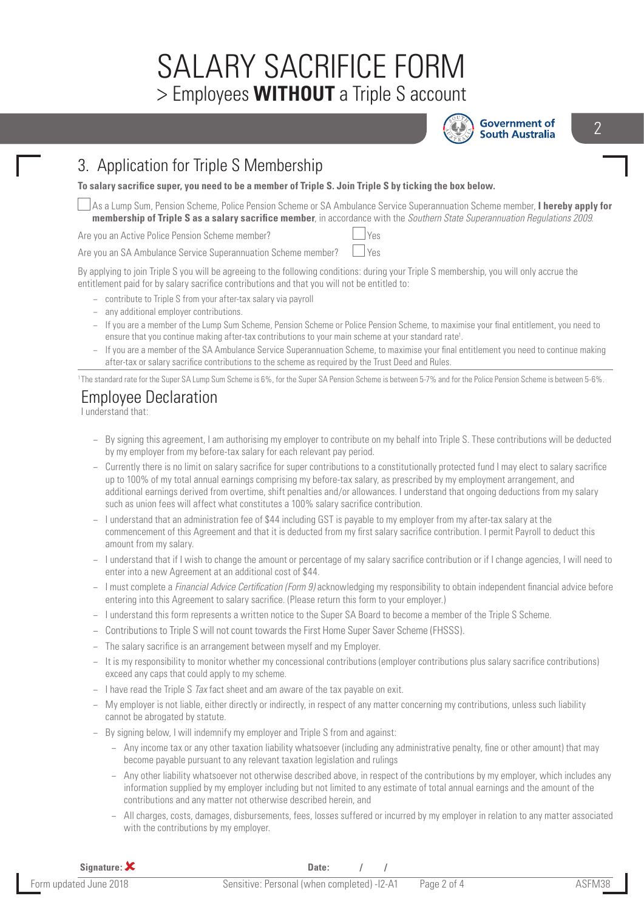# SALARY SACRIFICE FORM > Employees **WITHOUT** a Triple S account



**Government of South Australia** 

## 3. Application for Triple S Membership

**To salary sacrifice super, you need to be a member of Triple S. Join Triple S by ticking the box below.**

As a Lump Sum, Pension Scheme, Police Pension Scheme or SA Ambulance Service Superannuation Scheme member, **I hereby apply for membership of Triple S as a salary sacrifice member**, in accordance with the *Southern State Superannuation Regulations 2009*.

Are you an Active Police Pension Scheme member?

Are you an SA Ambulance Service Superannuation Scheme member?  $\Box$  Yes

By applying to join Triple S you will be agreeing to the following conditions: during your Triple S membership, you will only accrue the entitlement paid for by salary sacrifice contributions and that you will not be entitled to:

- − contribute to Triple S from your after-tax salary via payroll
- − any additional employer contributions.
- − If you are a member of the Lump Sum Scheme, Pension Scheme or Police Pension Scheme, to maximise your final entitlement, you need to ensure that you continue making after-tax contributions to your main scheme at your standard rate<sup>1</sup>.
- − If you are a member of the SA Ambulance Service Superannuation Scheme, to maximise your final entitlement you need to continue making after-tax or salary sacrifice contributions to the scheme as required by the Trust Deed and Rules.

1 The standard rate for the Super SA Lump Sum Scheme is 6%, for the Super SA Pension Scheme is between 5-7% and for the Police Pension Scheme is between 5-6%.

#### Employee Declaration

I understand that:

- − By signing this agreement, I am authorising my employer to contribute on my behalf into Triple S. These contributions will be deducted by my employer from my before-tax salary for each relevant pay period.
- − Currently there is no limit on salary sacrifice for super contributions to a constitutionally protected fund I may elect to salary sacrifice up to 100% of my total annual earnings comprising my before-tax salary, as prescribed by my employment arrangement, and additional earnings derived from overtime, shift penalties and/or allowances. I understand that ongoing deductions from my salary such as union fees will affect what constitutes a 100% salary sacrifice contribution.
- − I understand that an administration fee of \$44 including GST is payable to my employer from my after-tax salary at the commencement of this Agreement and that it is deducted from my first salary sacrifice contribution. I permit Payroll to deduct this amount from my salary.
- − I understand that if I wish to change the amount or percentage of my salary sacrifice contribution or if I change agencies, I will need to enter into a new Agreement at an additional cost of \$44.
- − I must complete a *Financial Advice Certification (Form 9)* acknowledging my responsibility to obtain independent financial advice before entering into this Agreement to salary sacrifice. (Please return this form to your employer.)
- − I understand this form represents a written notice to the Super SA Board to become a member of the Triple S Scheme.
- − Contributions to Triple S will not count towards the First Home Super Saver Scheme (FHSSS).
- The salary sacrifice is an arrangement between myself and my Employer.
- − It is my responsibility to monitor whether my concessional contributions (employer contributions plus salary sacrifice contributions) exceed any caps that could apply to my scheme.
- − I have read the Triple S *Tax* fact sheet and am aware of the tax payable on exit.
- − My employer is not liable, either directly or indirectly, in respect of any matter concerning my contributions, unless such liability cannot be abrogated by statute.
- − By signing below, I will indemnify my employer and Triple S from and against:
	- − Any income tax or any other taxation liability whatsoever (including any administrative penalty, fine or other amount) that may become payable pursuant to any relevant taxation legislation and rulings
	- Any other liability whatsoever not otherwise described above, in respect of the contributions by my employer, which includes any information supplied by my employer including but not limited to any estimate of total annual earnings and the amount of the contributions and any matter not otherwise described herein, and
	- − All charges, costs, damages, disbursements, fees, losses suffered or incurred by my employer in relation to any matter associated with the contributions by my employer.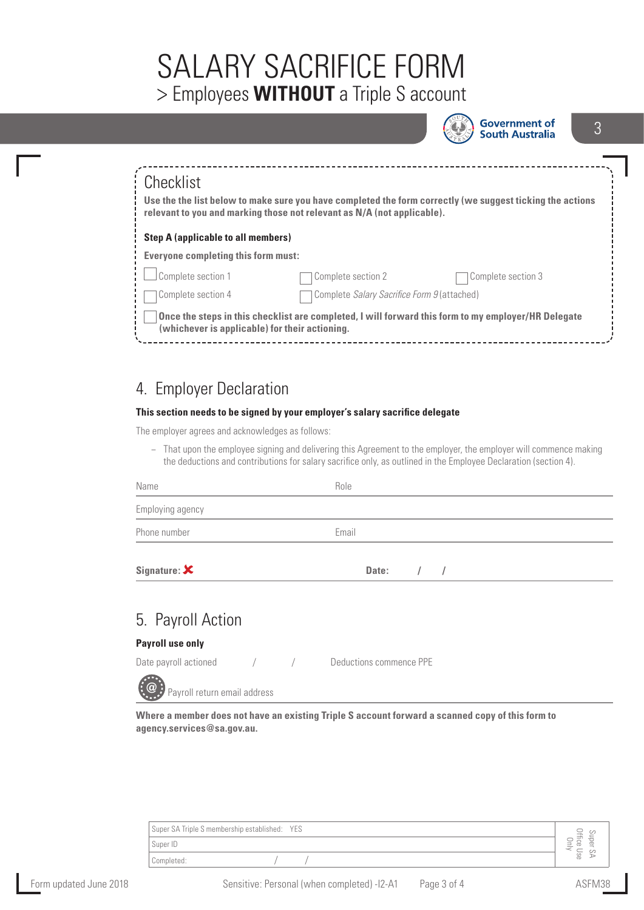# SALARY SACRIFICE FORM > Employees **WITHOUT** a Triple S account



**Government of South Australia** 

3

| Checklist<br>Use the the list below to make sure you have completed the form correctly (we suggest ticking the actions<br>relevant to you and marking those not relevant as N/A (not applicable). |                                             |                    |  |  |
|---------------------------------------------------------------------------------------------------------------------------------------------------------------------------------------------------|---------------------------------------------|--------------------|--|--|
| <b>Step A (applicable to all members)</b>                                                                                                                                                         |                                             |                    |  |  |
| <b>Everyone completing this form must:</b>                                                                                                                                                        |                                             |                    |  |  |
| Complete section 1                                                                                                                                                                                | Complete section 2                          | Complete section 3 |  |  |
| Complete section 4                                                                                                                                                                                | Complete Salary Sacrifice Form 9 (attached) |                    |  |  |
| Once the steps in this checklist are completed, I will forward this form to my employer/HR Delegate<br>(whichever is applicable) for their actioning.                                             |                                             |                    |  |  |

## 4. Employer Declaration

#### **This section needs to be signed by your employer's salary sacrifice delegate**

The employer agrees and acknowledges as follows:

− That upon the employee signing and delivering this Agreement to the employer, the employer will commence making the deductions and contributions for salary sacrifice only, as outlined in the Employee Declaration (section 4).

| Name                         | Role        |
|------------------------------|-------------|
| Employing agency             |             |
| Phone number                 | Email       |
| Signature: $\bm{\mathsf{x}}$ | Date: $/ /$ |

## 5. Payroll Action

#### **Payroll use only**

Date payroll actioned  $/$  / Deductions commence PPE

**@** Payroll return email address

**Where a member does not have an existing Triple S account forward a scanned copy of this form to agency.services@sa.gov.au.**

| Super SA Triple S membership established: YES | - |
|-----------------------------------------------|---|
| Super ID                                      | _ |
| Completed:                                    | æ |